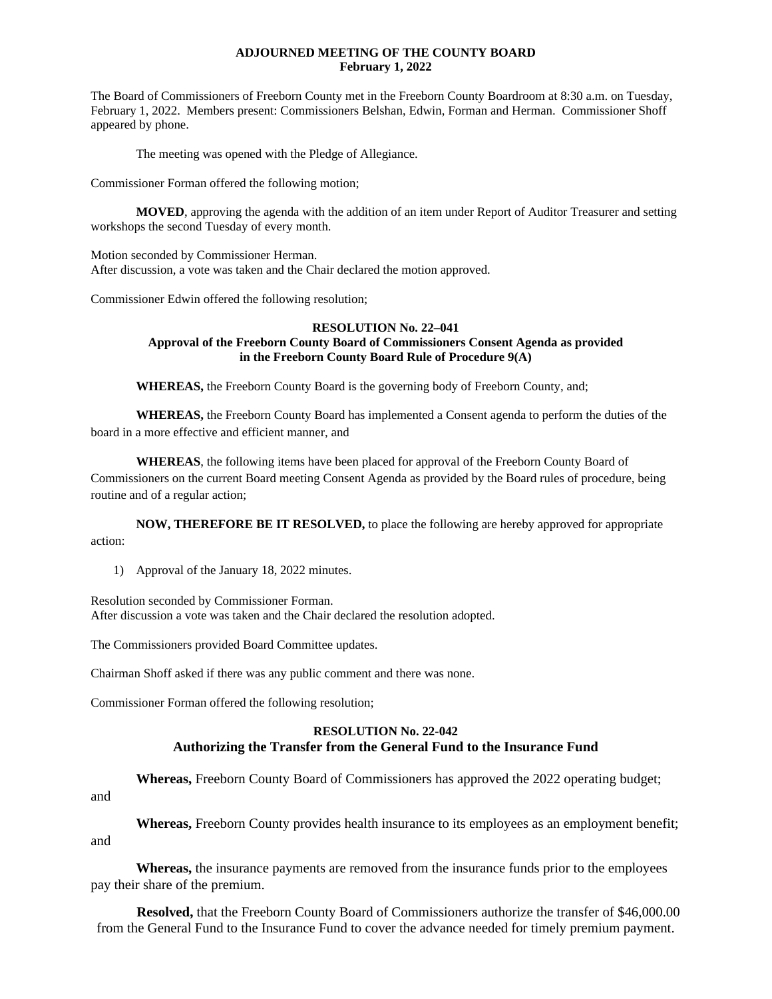### **ADJOURNED MEETING OF THE COUNTY BOARD February 1, 2022**

The Board of Commissioners of Freeborn County met in the Freeborn County Boardroom at 8:30 a.m. on Tuesday, February 1, 2022. Members present: Commissioners Belshan, Edwin, Forman and Herman. Commissioner Shoff appeared by phone.

The meeting was opened with the Pledge of Allegiance.

Commissioner Forman offered the following motion;

**MOVED**, approving the agenda with the addition of an item under Report of Auditor Treasurer and setting workshops the second Tuesday of every month.

Motion seconded by Commissioner Herman. After discussion, a vote was taken and the Chair declared the motion approved.

Commissioner Edwin offered the following resolution;

### **RESOLUTION No. 22–041 Approval of the Freeborn County Board of Commissioners Consent Agenda as provided in the Freeborn County Board Rule of Procedure 9(A)**

**WHEREAS,** the Freeborn County Board is the governing body of Freeborn County, and;

**WHEREAS,** the Freeborn County Board has implemented a Consent agenda to perform the duties of the board in a more effective and efficient manner, and

**WHEREAS**, the following items have been placed for approval of the Freeborn County Board of Commissioners on the current Board meeting Consent Agenda as provided by the Board rules of procedure, being routine and of a regular action;

**NOW, THEREFORE BE IT RESOLVED,** to place the following are hereby approved for appropriate action:

1) Approval of the January 18, 2022 minutes.

Resolution seconded by Commissioner Forman. After discussion a vote was taken and the Chair declared the resolution adopted.

The Commissioners provided Board Committee updates.

Chairman Shoff asked if there was any public comment and there was none.

Commissioner Forman offered the following resolution;

## **RESOLUTION No. 22-042 Authorizing the Transfer from the General Fund to the Insurance Fund**

**Whereas,** Freeborn County Board of Commissioners has approved the 2022 operating budget;

and

**Whereas,** Freeborn County provides health insurance to its employees as an employment benefit; and

**Whereas,** the insurance payments are removed from the insurance funds prior to the employees pay their share of the premium.

**Resolved,** that the Freeborn County Board of Commissioners authorize the transfer of \$46,000.00 from the General Fund to the Insurance Fund to cover the advance needed for timely premium payment.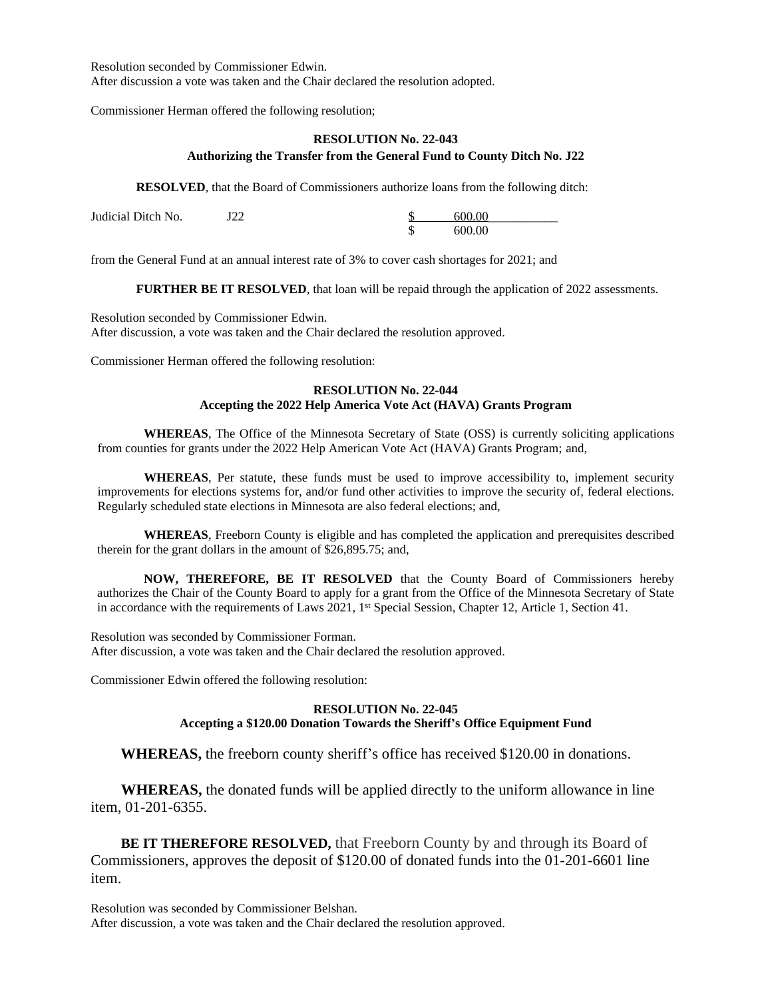Resolution seconded by Commissioner Edwin. After discussion a vote was taken and the Chair declared the resolution adopted.

Commissioner Herman offered the following resolution;

### **RESOLUTION No. 22-043 Authorizing the Transfer from the General Fund to County Ditch No. J22**

**RESOLVED**, that the Board of Commissioners authorize loans from the following ditch:

| Judicial Ditch No. | ГOO | 600.00 |
|--------------------|-----|--------|
|                    |     | 600.00 |

from the General Fund at an annual interest rate of 3% to cover cash shortages for 2021; and

**FURTHER BE IT RESOLVED**, that loan will be repaid through the application of 2022 assessments.

Resolution seconded by Commissioner Edwin. After discussion, a vote was taken and the Chair declared the resolution approved.

Commissioner Herman offered the following resolution:

## **RESOLUTION No. 22-044 Accepting the 2022 Help America Vote Act (HAVA) Grants Program**

**WHEREAS**, The Office of the Minnesota Secretary of State (OSS) is currently soliciting applications from counties for grants under the 2022 Help American Vote Act (HAVA) Grants Program; and,

**WHEREAS**, Per statute, these funds must be used to improve accessibility to, implement security improvements for elections systems for, and/or fund other activities to improve the security of, federal elections. Regularly scheduled state elections in Minnesota are also federal elections; and,

**WHEREAS**, Freeborn County is eligible and has completed the application and prerequisites described therein for the grant dollars in the amount of \$26,895.75; and,

**NOW, THEREFORE, BE IT RESOLVED** that the County Board of Commissioners hereby authorizes the Chair of the County Board to apply for a grant from the Office of the Minnesota Secretary of State in accordance with the requirements of Laws 2021, 1<sup>st</sup> Special Session, Chapter 12, Article 1, Section 41.

Resolution was seconded by Commissioner Forman. After discussion, a vote was taken and the Chair declared the resolution approved.

Commissioner Edwin offered the following resolution:

#### **RESOLUTION No. 22-045 Accepting a \$120.00 Donation Towards the Sheriff's Office Equipment Fund**

**WHEREAS,** the freeborn county sheriff's office has received \$120.00 in donations.

**WHEREAS,** the donated funds will be applied directly to the uniform allowance in line item, 01-201-6355.

**BE IT THEREFORE RESOLVED,** that Freeborn County by and through its Board of Commissioners, approves the deposit of \$120.00 of donated funds into the 01-201-6601 line item.

Resolution was seconded by Commissioner Belshan. After discussion, a vote was taken and the Chair declared the resolution approved.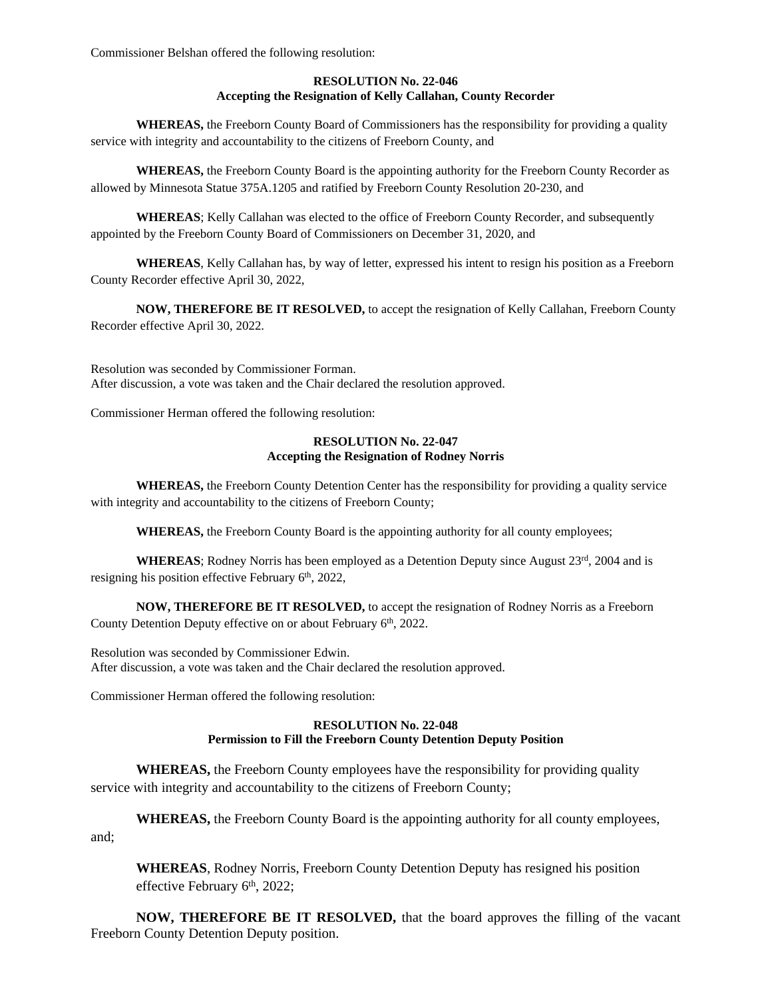Commissioner Belshan offered the following resolution:

## **RESOLUTION No. 22-046 Accepting the Resignation of Kelly Callahan, County Recorder**

**WHEREAS,** the Freeborn County Board of Commissioners has the responsibility for providing a quality service with integrity and accountability to the citizens of Freeborn County, and

**WHEREAS,** the Freeborn County Board is the appointing authority for the Freeborn County Recorder as allowed by Minnesota Statue 375A.1205 and ratified by Freeborn County Resolution 20-230, and

**WHEREAS**; Kelly Callahan was elected to the office of Freeborn County Recorder, and subsequently appointed by the Freeborn County Board of Commissioners on December 31, 2020, and

**WHEREAS**, Kelly Callahan has, by way of letter, expressed his intent to resign his position as a Freeborn County Recorder effective April 30, 2022,

**NOW, THEREFORE BE IT RESOLVED,** to accept the resignation of Kelly Callahan, Freeborn County Recorder effective April 30, 2022.

Resolution was seconded by Commissioner Forman. After discussion, a vote was taken and the Chair declared the resolution approved.

Commissioner Herman offered the following resolution:

#### **RESOLUTION No. 22-047 Accepting the Resignation of Rodney Norris**

**WHEREAS,** the Freeborn County Detention Center has the responsibility for providing a quality service with integrity and accountability to the citizens of Freeborn County;

**WHEREAS,** the Freeborn County Board is the appointing authority for all county employees;

**WHEREAS**; Rodney Norris has been employed as a Detention Deputy since August 23rd, 2004 and is resigning his position effective February 6th, 2022,

**NOW, THEREFORE BE IT RESOLVED,** to accept the resignation of Rodney Norris as a Freeborn County Detention Deputy effective on or about February 6th, 2022.

Resolution was seconded by Commissioner Edwin. After discussion, a vote was taken and the Chair declared the resolution approved.

Commissioner Herman offered the following resolution:

# **RESOLUTION No. 22-048 Permission to Fill the Freeborn County Detention Deputy Position**

**WHEREAS,** the Freeborn County employees have the responsibility for providing quality service with integrity and accountability to the citizens of Freeborn County;

**WHEREAS,** the Freeborn County Board is the appointing authority for all county employees, and;

**WHEREAS**, Rodney Norris, Freeborn County Detention Deputy has resigned his position effective February 6<sup>th</sup>, 2022;

**NOW, THEREFORE BE IT RESOLVED,** that the board approves the filling of the vacant Freeborn County Detention Deputy position.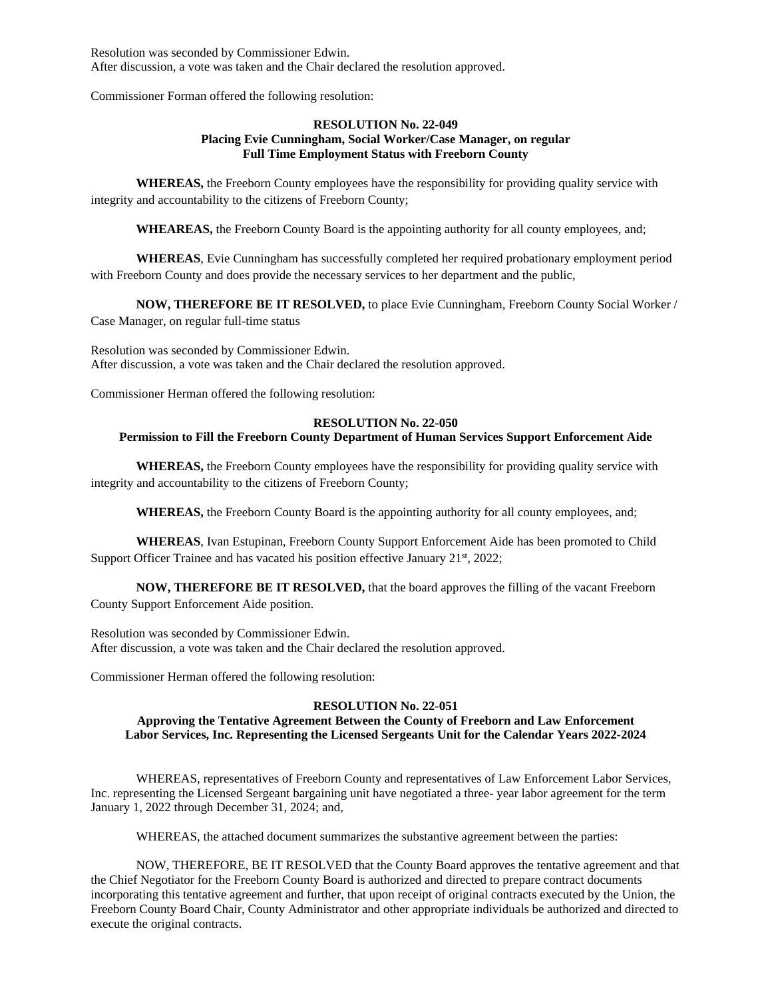Resolution was seconded by Commissioner Edwin. After discussion, a vote was taken and the Chair declared the resolution approved.

Commissioner Forman offered the following resolution:

#### **RESOLUTION No. 22-049 Placing Evie Cunningham, Social Worker/Case Manager, on regular Full Time Employment Status with Freeborn County**

**WHEREAS,** the Freeborn County employees have the responsibility for providing quality service with integrity and accountability to the citizens of Freeborn County;

**WHEAREAS,** the Freeborn County Board is the appointing authority for all county employees, and;

**WHEREAS**, Evie Cunningham has successfully completed her required probationary employment period with Freeborn County and does provide the necessary services to her department and the public,

**NOW, THEREFORE BE IT RESOLVED,** to place Evie Cunningham, Freeborn County Social Worker / Case Manager, on regular full-time status

Resolution was seconded by Commissioner Edwin. After discussion, a vote was taken and the Chair declared the resolution approved.

Commissioner Herman offered the following resolution:

### **RESOLUTION No. 22-050**

### **Permission to Fill the Freeborn County Department of Human Services Support Enforcement Aide**

**WHEREAS,** the Freeborn County employees have the responsibility for providing quality service with integrity and accountability to the citizens of Freeborn County;

**WHEREAS,** the Freeborn County Board is the appointing authority for all county employees, and;

**WHEREAS**, Ivan Estupinan, Freeborn County Support Enforcement Aide has been promoted to Child Support Officer Trainee and has vacated his position effective January 21<sup>st</sup>, 2022;

**NOW, THEREFORE BE IT RESOLVED,** that the board approves the filling of the vacant Freeborn County Support Enforcement Aide position.

Resolution was seconded by Commissioner Edwin. After discussion, a vote was taken and the Chair declared the resolution approved.

Commissioner Herman offered the following resolution:

#### **RESOLUTION No. 22-051**

## **Approving the Tentative Agreement Between the County of Freeborn and Law Enforcement Labor Services, Inc. Representing the Licensed Sergeants Unit for the Calendar Years 2022-2024**

WHEREAS, representatives of Freeborn County and representatives of Law Enforcement Labor Services, Inc. representing the Licensed Sergeant bargaining unit have negotiated a three- year labor agreement for the term January 1, 2022 through December 31, 2024; and,

WHEREAS, the attached document summarizes the substantive agreement between the parties:

NOW, THEREFORE, BE IT RESOLVED that the County Board approves the tentative agreement and that the Chief Negotiator for the Freeborn County Board is authorized and directed to prepare contract documents incorporating this tentative agreement and further, that upon receipt of original contracts executed by the Union, the Freeborn County Board Chair, County Administrator and other appropriate individuals be authorized and directed to execute the original contracts.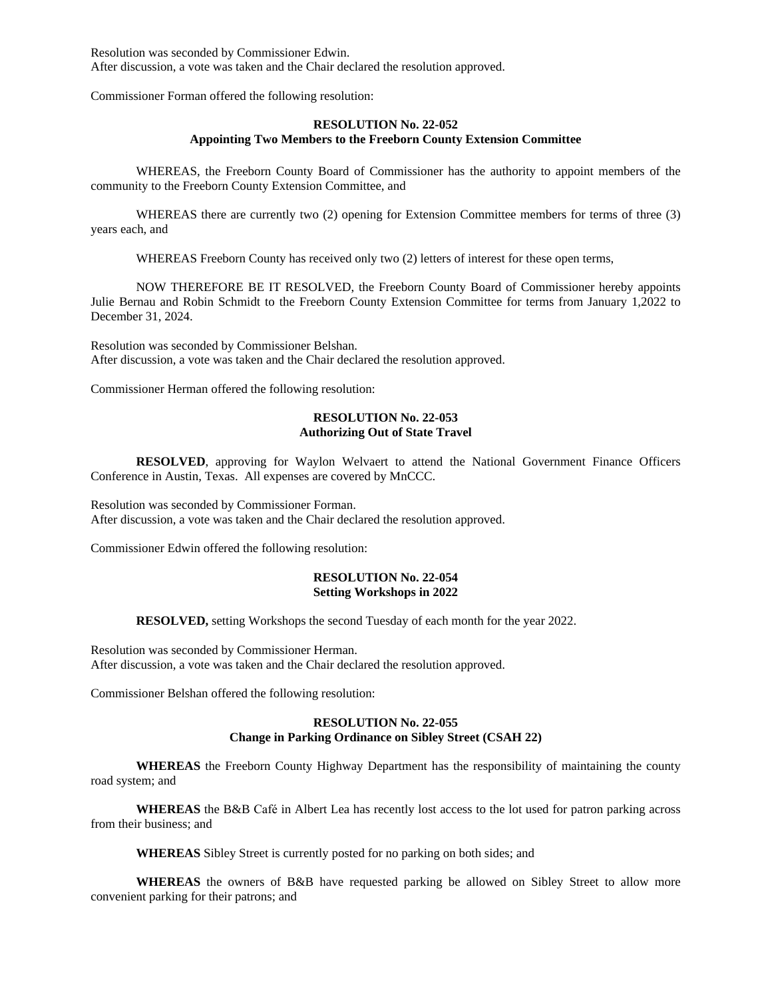Resolution was seconded by Commissioner Edwin. After discussion, a vote was taken and the Chair declared the resolution approved.

Commissioner Forman offered the following resolution:

### **RESOLUTION No. 22-052 Appointing Two Members to the Freeborn County Extension Committee**

WHEREAS, the Freeborn County Board of Commissioner has the authority to appoint members of the community to the Freeborn County Extension Committee, and

WHEREAS there are currently two (2) opening for Extension Committee members for terms of three (3) years each, and

WHEREAS Freeborn County has received only two (2) letters of interest for these open terms,

NOW THEREFORE BE IT RESOLVED, the Freeborn County Board of Commissioner hereby appoints Julie Bernau and Robin Schmidt to the Freeborn County Extension Committee for terms from January 1,2022 to December 31, 2024.

Resolution was seconded by Commissioner Belshan. After discussion, a vote was taken and the Chair declared the resolution approved.

Commissioner Herman offered the following resolution:

# **RESOLUTION No. 22-053 Authorizing Out of State Travel**

**RESOLVED**, approving for Waylon Welvaert to attend the National Government Finance Officers Conference in Austin, Texas. All expenses are covered by MnCCC.

Resolution was seconded by Commissioner Forman. After discussion, a vote was taken and the Chair declared the resolution approved.

Commissioner Edwin offered the following resolution:

#### **RESOLUTION No. 22-054 Setting Workshops in 2022**

**RESOLVED,** setting Workshops the second Tuesday of each month for the year 2022.

Resolution was seconded by Commissioner Herman. After discussion, a vote was taken and the Chair declared the resolution approved.

Commissioner Belshan offered the following resolution:

# **RESOLUTION No. 22-055 Change in Parking Ordinance on Sibley Street (CSAH 22)**

**WHEREAS** the Freeborn County Highway Department has the responsibility of maintaining the county road system; and

**WHEREAS** the B&B Café in Albert Lea has recently lost access to the lot used for patron parking across from their business; and

**WHEREAS** Sibley Street is currently posted for no parking on both sides; and

**WHEREAS** the owners of B&B have requested parking be allowed on Sibley Street to allow more convenient parking for their patrons; and